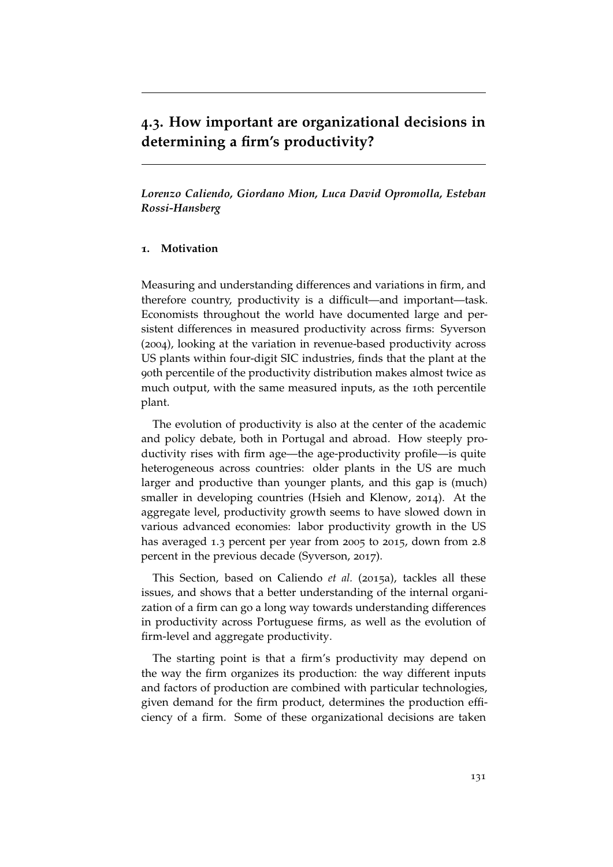# **4.3. How important are organizational decisions in determining a firm's productivity?**

*Lorenzo Caliendo, Giordano Mion, Luca David Opromolla, Esteban Rossi-Hansberg*

#### **1. Motivation**

Measuring and understanding differences and variations in firm, and therefore country, productivity is a difficult—and important—task. Economists throughout the world have documented large and persistent differences in measured productivity across firms: Syverson (2004), looking at the variation in revenue-based productivity across US plants within four-digit SIC industries, finds that the plant at the 90th percentile of the productivity distribution makes almost twice as much output, with the same measured inputs, as the 10th percentile plant.

The evolution of productivity is also at the center of the academic and policy debate, both in Portugal and abroad. How steeply productivity rises with firm age—the age-productivity profile—is quite heterogeneous across countries: older plants in the US are much larger and productive than younger plants, and this gap is (much) smaller in developing countries (Hsieh and Klenow, 2014). At the aggregate level, productivity growth seems to have slowed down in various advanced economies: labor productivity growth in the US has averaged 1.3 percent per year from 2005 to 2015, down from 2.8 percent in the previous decade (Syverson, 2017).

This Section, based on Caliendo *et al.* (2015a), tackles all these issues, and shows that a better understanding of the internal organization of a firm can go a long way towards understanding differences in productivity across Portuguese firms, as well as the evolution of firm-level and aggregate productivity.

The starting point is that a firm's productivity may depend on the way the firm organizes its production: the way different inputs and factors of production are combined with particular technologies, given demand for the firm product, determines the production efficiency of a firm. Some of these organizational decisions are taken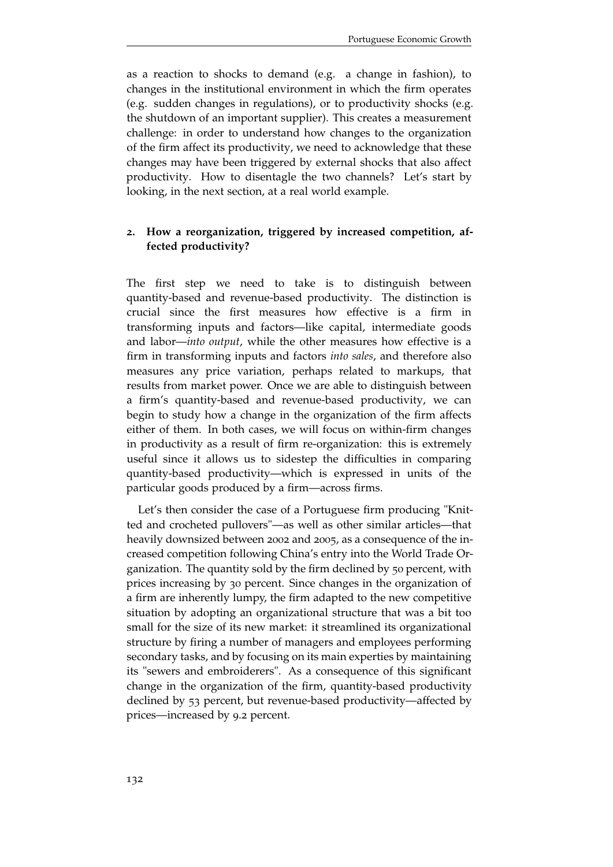as a reaction to shocks to demand (e.g. a change in fashion), to changes in the institutional environment in which the firm operates (e.g. sudden changes in regulations), or to productivity shocks (e.g. the shutdown of an important supplier). This creates a measurement challenge: in order to understand how changes to the organization of the firm affect its productivity, we need to acknowledge that these changes may have been triggered by external shocks that also affect productivity. How to disentagle the two channels? Let's start by looking, in the next section, at a real world example.

## **2. How a reorganization, triggered by increased competition, affected productivity?**

The first step we need to take is to distinguish between quantity-based and revenue-based productivity. The distinction is crucial since the first measures how effective is a firm in transforming inputs and factors—like capital, intermediate goods and labor—*into output*, while the other measures how effective is a firm in transforming inputs and factors *into sales*, and therefore also measures any price variation, perhaps related to markups, that results from market power. Once we are able to distinguish between a firm's quantity-based and revenue-based productivity, we can begin to study how a change in the organization of the firm affects either of them. In both cases, we will focus on within-firm changes in productivity as a result of firm re-organization: this is extremely useful since it allows us to sidestep the difficulties in comparing quantity-based productivity—which is expressed in units of the particular goods produced by a firm—across firms.

Let's then consider the case of a Portuguese firm producing "Knitted and crocheted pullovers"—as well as other similar articles—that heavily downsized between 2002 and 2005, as a consequence of the increased competition following China's entry into the World Trade Organization. The quantity sold by the firm declined by 50 percent, with prices increasing by 30 percent. Since changes in the organization of a firm are inherently lumpy, the firm adapted to the new competitive situation by adopting an organizational structure that was a bit too small for the size of its new market: it streamlined its organizational structure by firing a number of managers and employees performing secondary tasks, and by focusing on its main experties by maintaining its "sewers and embroiderers". As a consequence of this significant change in the organization of the firm, quantity-based productivity declined by 53 percent, but revenue-based productivity—affected by prices—increased by 9.2 percent.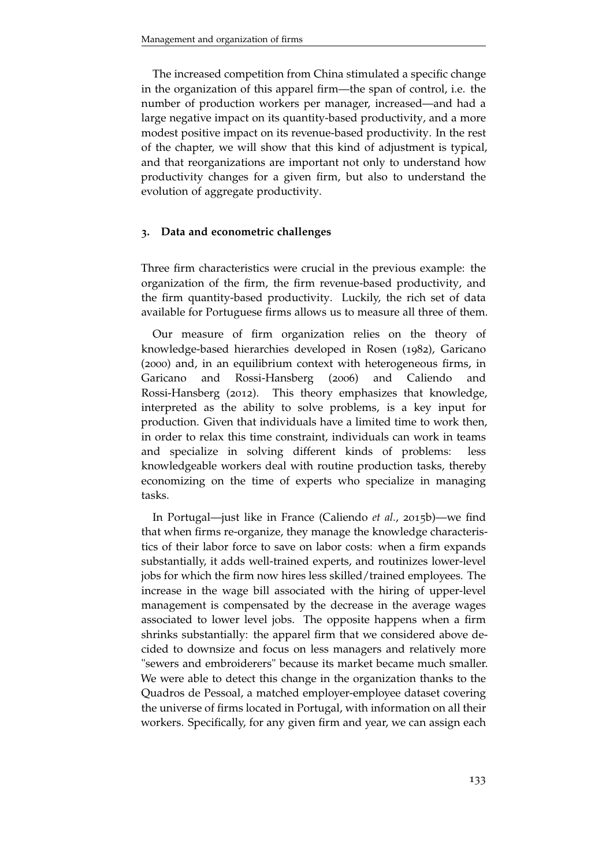The increased competition from China stimulated a specific change in the organization of this apparel firm—the span of control, i.e. the number of production workers per manager, increased—and had a large negative impact on its quantity-based productivity, and a more modest positive impact on its revenue-based productivity. In the rest of the chapter, we will show that this kind of adjustment is typical, and that reorganizations are important not only to understand how productivity changes for a given firm, but also to understand the evolution of aggregate productivity.

#### **3. Data and econometric challenges**

Three firm characteristics were crucial in the previous example: the organization of the firm, the firm revenue-based productivity, and the firm quantity-based productivity. Luckily, the rich set of data available for Portuguese firms allows us to measure all three of them.

Our measure of firm organization relies on the theory of knowledge-based hierarchies developed in Rosen (1982), Garicano (2000) and, in an equilibrium context with heterogeneous firms, in Garicano and Rossi-Hansberg (2006) and Caliendo and Rossi-Hansberg (2012). This theory emphasizes that knowledge, interpreted as the ability to solve problems, is a key input for production. Given that individuals have a limited time to work then, in order to relax this time constraint, individuals can work in teams and specialize in solving different kinds of problems: less knowledgeable workers deal with routine production tasks, thereby economizing on the time of experts who specialize in managing tasks.

In Portugal—just like in France (Caliendo *et al.*, 2015b)—we find that when firms re-organize, they manage the knowledge characteristics of their labor force to save on labor costs: when a firm expands substantially, it adds well-trained experts, and routinizes lower-level jobs for which the firm now hires less skilled/trained employees. The increase in the wage bill associated with the hiring of upper-level management is compensated by the decrease in the average wages associated to lower level jobs. The opposite happens when a firm shrinks substantially: the apparel firm that we considered above decided to downsize and focus on less managers and relatively more "sewers and embroiderers" because its market became much smaller. We were able to detect this change in the organization thanks to the Quadros de Pessoal, a matched employer-employee dataset covering the universe of firms located in Portugal, with information on all their workers. Specifically, for any given firm and year, we can assign each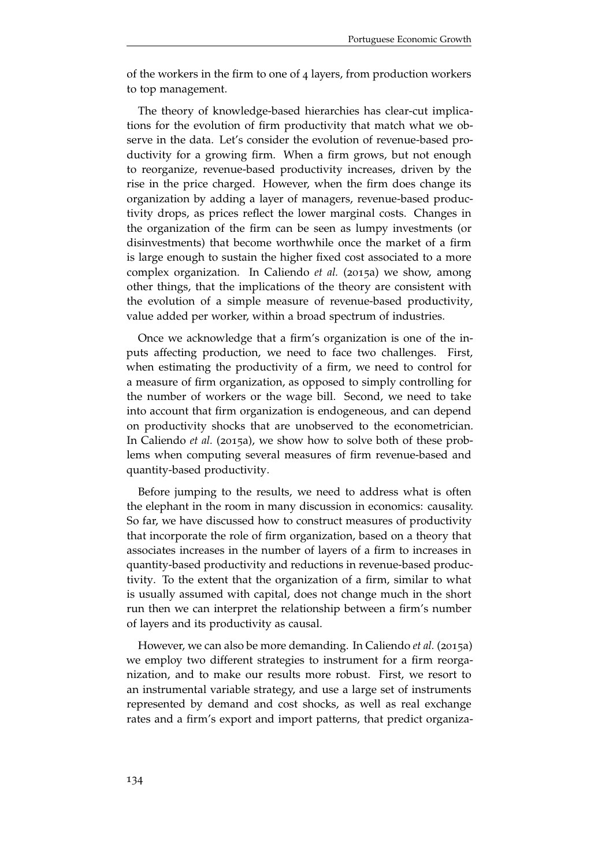of the workers in the firm to one of 4 layers, from production workers to top management.

The theory of knowledge-based hierarchies has clear-cut implications for the evolution of firm productivity that match what we observe in the data. Let's consider the evolution of revenue-based productivity for a growing firm. When a firm grows, but not enough to reorganize, revenue-based productivity increases, driven by the rise in the price charged. However, when the firm does change its organization by adding a layer of managers, revenue-based productivity drops, as prices reflect the lower marginal costs. Changes in the organization of the firm can be seen as lumpy investments (or disinvestments) that become worthwhile once the market of a firm is large enough to sustain the higher fixed cost associated to a more complex organization. In Caliendo *et al.* (2015a) we show, among other things, that the implications of the theory are consistent with the evolution of a simple measure of revenue-based productivity, value added per worker, within a broad spectrum of industries.

Once we acknowledge that a firm's organization is one of the inputs affecting production, we need to face two challenges. First, when estimating the productivity of a firm, we need to control for a measure of firm organization, as opposed to simply controlling for the number of workers or the wage bill. Second, we need to take into account that firm organization is endogeneous, and can depend on productivity shocks that are unobserved to the econometrician. In Caliendo *et al.* (2015a), we show how to solve both of these problems when computing several measures of firm revenue-based and quantity-based productivity.

Before jumping to the results, we need to address what is often the elephant in the room in many discussion in economics: causality. So far, we have discussed how to construct measures of productivity that incorporate the role of firm organization, based on a theory that associates increases in the number of layers of a firm to increases in quantity-based productivity and reductions in revenue-based productivity. To the extent that the organization of a firm, similar to what is usually assumed with capital, does not change much in the short run then we can interpret the relationship between a firm's number of layers and its productivity as causal.

However, we can also be more demanding. In Caliendo *et al.* (2015a) we employ two different strategies to instrument for a firm reorganization, and to make our results more robust. First, we resort to an instrumental variable strategy, and use a large set of instruments represented by demand and cost shocks, as well as real exchange rates and a firm's export and import patterns, that predict organiza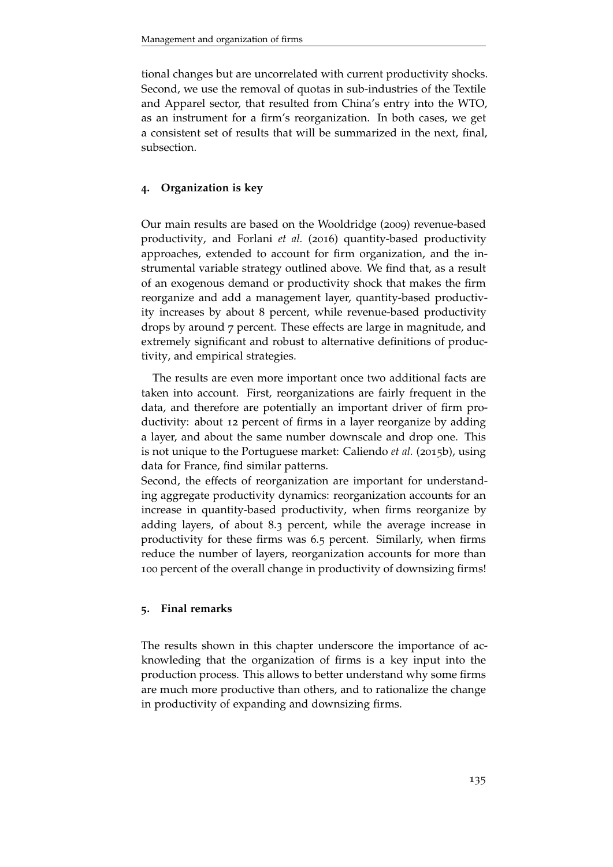tional changes but are uncorrelated with current productivity shocks. Second, we use the removal of quotas in sub-industries of the Textile and Apparel sector, that resulted from China's entry into the WTO, as an instrument for a firm's reorganization. In both cases, we get a consistent set of results that will be summarized in the next, final, subsection.

### **4. Organization is key**

Our main results are based on the Wooldridge (2009) revenue-based productivity, and Forlani *et al.* (2016) quantity-based productivity approaches, extended to account for firm organization, and the instrumental variable strategy outlined above. We find that, as a result of an exogenous demand or productivity shock that makes the firm reorganize and add a management layer, quantity-based productivity increases by about 8 percent, while revenue-based productivity drops by around 7 percent. These effects are large in magnitude, and extremely significant and robust to alternative definitions of productivity, and empirical strategies.

The results are even more important once two additional facts are taken into account. First, reorganizations are fairly frequent in the data, and therefore are potentially an important driver of firm productivity: about 12 percent of firms in a layer reorganize by adding a layer, and about the same number downscale and drop one. This is not unique to the Portuguese market: Caliendo *et al.* (2015b), using data for France, find similar patterns.

Second, the effects of reorganization are important for understanding aggregate productivity dynamics: reorganization accounts for an increase in quantity-based productivity, when firms reorganize by adding layers, of about 8.3 percent, while the average increase in productivity for these firms was 6.5 percent. Similarly, when firms reduce the number of layers, reorganization accounts for more than 100 percent of the overall change in productivity of downsizing firms!

#### **5. Final remarks**

The results shown in this chapter underscore the importance of acknowleding that the organization of firms is a key input into the production process. This allows to better understand why some firms are much more productive than others, and to rationalize the change in productivity of expanding and downsizing firms.